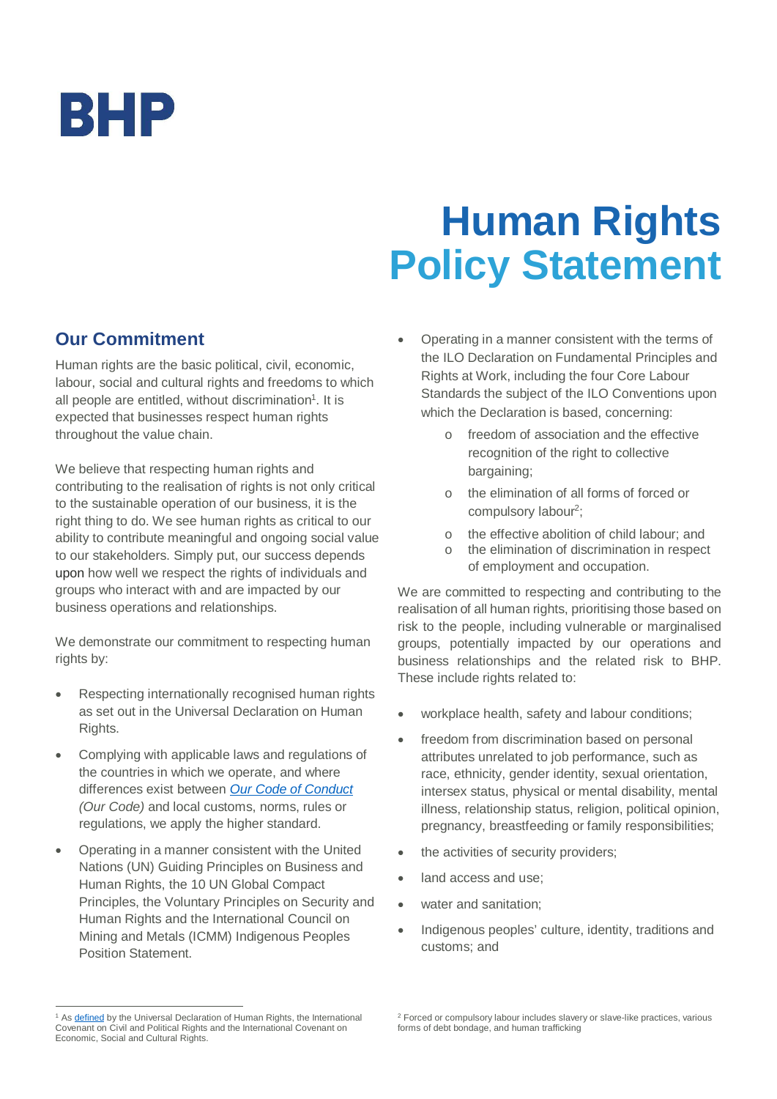

# **Human Rights Policy Statement**

# **Our Commitment**

Human rights are the basic political, civil, economic, labour, social and cultural rights and freedoms to which all people are entitled, without discrimination<sup>[1](#page-0-0)</sup>. It is expected that businesses respect human rights throughout the value chain.

We believe that respecting human rights and contributing to the realisation of rights is not only critical to the sustainable operation of our business, it is the right thing to do. We see human rights as critical to our ability to contribute meaningful and ongoing social value to our stakeholders. Simply put, our success depends upon how well we respect the rights of individuals and groups who interact with and are impacted by our business operations and relationships.

We demonstrate our commitment to respecting human rights by:

- · Respecting internationally recognised human rights as set out in the Universal Declaration on Human Rights.
- · Complying with applicable laws and regulations of the countries in which we operate, and where differences exist between *Our [Code of Conduct](https://www.bhp.com/our-approach/our-company/our-code-of-conduct) (Our Code)* and local customs, norms, rules or regulations, we apply the higher standard.
- Operating in a manner consistent with the United Nations (UN) Guiding Principles on Business and Human Rights, the 10 UN Global Compact Principles, the Voluntary Principles on Security and Human Rights and the International Council on Mining and Metals (ICMM) Indigenous Peoples Position Statement.
- · Operating in a manner consistent with the terms of the ILO Declaration on Fundamental Principles and Rights at Work, including the four Core Labour Standards the subject of the ILO Conventions upon which the Declaration is based, concerning:
	- o freedom of association and the effective recognition of the right to collective bargaining;
	- o the elimination of all forms of forced or compulsory labour<sup>[2](#page-0-1)</sup>;
	- o the effective abolition of child labour; and
	- the elimination of discrimination in respect of employment and occupation.

We are committed to respecting and contributing to the realisation of all human rights, prioritising those based on risk to the people, including vulnerable or marginalised groups, potentially impacted by our operations and business relationships and the related risk to BHP. These include rights related to:

- · workplace health, safety and labour conditions;
- freedom from discrimination based on personal attributes unrelated to job performance, such as race, ethnicity, gender identity, sexual orientation, intersex status, physical or mental disability, mental illness, relationship status, religion, political opinion, pregnancy, breastfeeding or family responsibilities;
- the activities of security providers;
- land access and use;
- water and sanitation:
- Indigenous peoples' culture, identity, traditions and customs; and

<span id="page-0-0"></span><sup>&</sup>lt;sup>1</sup> As **defined** by the Universal Declaration of Human Rights, the International Covenant on Civil and Political Rights and the International Covenant on Economic, Social and Cultural Rights.

<span id="page-0-1"></span><sup>2</sup> Forced or compulsory labour includes slavery or slave-like practices, various forms of debt bondage, and human trafficking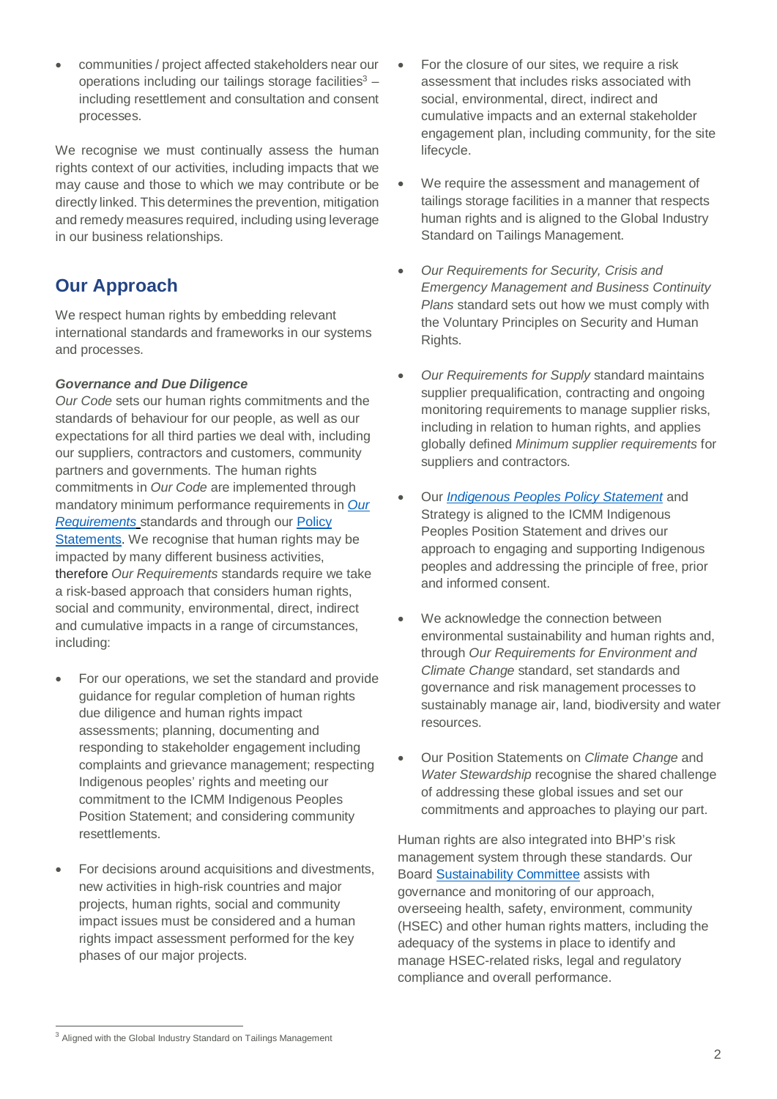communities / project affected stakeholders near our operations including our tailings storage facilities $3$  including resettlement and consultation and consent processes.

We recognise we must continually assess the human rights context of our activities, including impacts that we may cause and those to which we may contribute or be directly linked. This determines the prevention, mitigation and remedy measures required, including using leverage in our business relationships.

# **Our Approach**

We respect human rights by embedding relevant international standards and frameworks in our systems and processes.

## *Governance and Due Diligence*

*Our Code* sets our human rights commitments and the standards of behaviour for our people, as well as our expectations for all third parties we deal with, including our suppliers, contractors and customers, community partners and governments. The human rights commitments in *Our Code* are implemented through mandatory minimum performance requirements in *[Our](https://www.bhp.com/our-approach/our-company/governance) [Requirements](https://www.bhp.com/our-approach/our-company/governance)* standards and through our Policy Statements. We recognise that human rights may be impacted by many different business activities, therefore *Our Requirements* standards require we take a risk-based approach that considers human rights, social and community, environmental, direct, indirect and cumulative impacts in a range of circumstances, including:

- For our operations, we set the standard and provide guidance for regular completion of human rights due diligence and human rights impact assessments; planning, documenting and responding to stakeholder engagement including complaints and grievance management; respecting Indigenous peoples' rights and meeting our commitment to the ICMM Indigenous Peoples Position Statement; and considering community resettlements.
- For decisions around acquisitions and divestments, new activities in high-risk countries and major projects, human rights, social and community impact issues must be considered and a human rights impact assessment performed for the key phases of our major projects.
- For the closure of our sites, we require a risk assessment that includes risks associated with social, environmental, direct, indirect and cumulative impacts and an external stakeholder engagement plan, including community, for the site lifecycle.
- · We require the assessment and management of tailings storage facilities in a manner that respects human rights and is aligned to the Global Industry Standard on Tailings Management.
- · *Our Requirements for Security, Crisis and Emergency Management and Business Continuity Plans* standard sets out how we must comply with the Voluntary Principles on Security and Human Rights.
- · *Our Requirements for Supply* standard maintains supplier prequalification, contracting and ongoing monitoring requirements to manage supplier risks, including in relation to human rights, and applies globally defined *Minimum supplier requirements* for suppliers and contractors.
- · Our *[Indigenous Peoples Policy Statement](https://www.bhp.com/our-approach/operating-with-integrity/indigenous-peoples/bhp-indigenous-peoples-policy-statement)* and Strategy is aligned to the ICMM Indigenous Peoples Position Statement and drives our approach to engaging and supporting Indigenous peoples and addressing the principle of free, prior and informed consent.
- We acknowledge the connection between environmental sustainability and human rights and, through *Our Requirements for Environment and Climate Change* standard, set standards and governance and risk management processes to sustainably manage air, land, biodiversity and water resources.
- · Our Position Statements on *Climate Change* and *Water Stewardship* recognise the shared challenge of addressing these global issues and set our commitments and approaches to playing our part.

Human rights are also integrated into BHP's risk management system through these standards. Our Board [Sustainability Committee](https://www.bhp.com/-/media/documents/ourapproach/governance/180223_suscotor.pdf?la=en) assists with governance and monitoring of our approach, overseeing health, safety, environment, community (HSEC) and other human rights matters, including the adequacy of the systems in place to identify and manage HSEC-related risks, legal and regulatory compliance and overall performance.

<span id="page-1-0"></span><sup>&</sup>lt;sup>3</sup> Aligned with the Global Industry Standard on Tailings Management